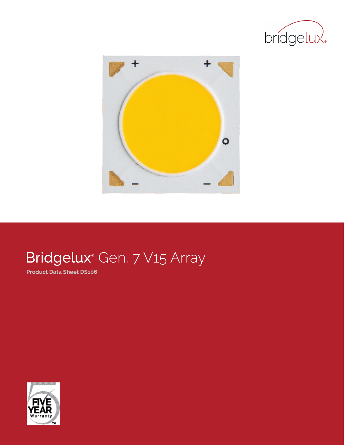



# Bridgelux<sup>®</sup> Gen. 7 V15 Array

**Product Data Sheet DS106**

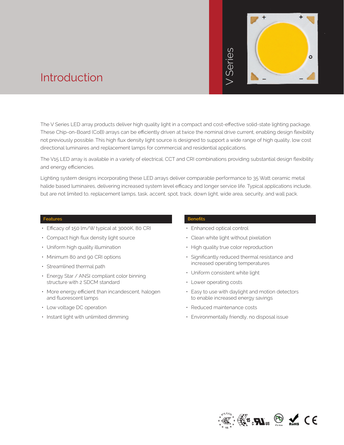

### Introduction

The V Series LED array products deliver high quality light in a compact and cost-effective solid-state lighting package. These Chip-on-Board (CoB) arrays can be efficiently driven at twice the nominal drive current, enabling design flexibility not previously possible. This high flux density light source is designed to support a wide range of high quality, low cost directional luminaires and replacement lamps for commercial and residential applications. but are not limited to, replacement lamps, task, accent, spot, track, down light, wide area, security, and wall packing the product of the spot area of the chip-on-Board (CoB) arrays can be efficiently driven at twice the

The V15 LED array is available in a variety of electrical, CCT and CRI combinations providing substantial design flexibility and energy efficiencies.

Lighting system designs incorporating these LED arrays deliver comparable performance to 35 Watt ceramic metal halide based luminaires, delivering increased system level efficacy and longer service life. Typical applications include,

#### **Features**

- Efficacy of 150 lm/W typical at 3000K, 80 CRI
- Compact high flux density light source
- Uniform high quality illumination
- Minimum 80 and 90 CRI options
- Streamlined thermal path
- Energy Star / ANSI compliant color binning structure with 2 SDCM standard
- More energy efficient than incandescent, halogen and fluorescent lamps
- Low voltage DC operation
- Instant light with unlimited dimming

#### **Benefits**

- Enhanced optical control
- Clean white light without pixelation
- High quality true color reproduction
- Significantly reduced thermal resistance and increased operating temperatures
- Uniform consistent white light
- Lower operating costs
- Easy to use with daylight and motion detectors to enable increased energy savings
- Reduced maintenance costs
- Environmentally friendly, no disposal issue

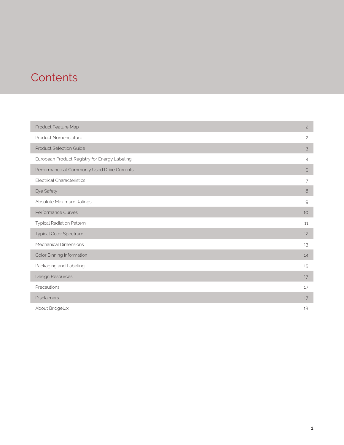### **Contents**

| Product Feature Map                           | $\overline{c}$ |
|-----------------------------------------------|----------------|
| Product Nomenclature                          | $\mathbf{2}$   |
| <b>Product Selection Guide</b>                | 3              |
| European Product Registry for Energy Labeling | $\overline{4}$ |
| Performance at Commonly Used Drive Currents   | 5              |
| <b>Electrical Characteristics</b>             | 7              |
| Eye Safety                                    | 8              |
| Absolute Maximum Ratings                      | $\mathcal{Q}$  |
| Performance Curves                            | 10             |
| Typical Radiation Pattern                     | 11             |
| Typical Color Spectrum                        | 12             |
| Mechanical Dimensions                         | 13             |
| Color Binning Information                     | 14             |
| Packaging and Labeling                        | 15             |
| Design Resources                              | 17             |
| Precautions                                   | 17             |
| <b>Disclaimers</b>                            | 17             |
| About Bridgelux                               | 18             |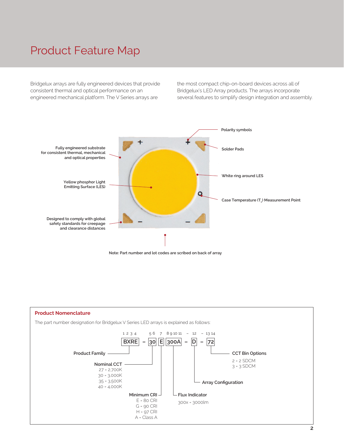### Product Feature Map

Bridgelux arrays are fully engineered devices that provide consistent thermal and optical performance on an engineered mechanical platform. The V Series arrays are

the most compact chip-on-board devices across all of Bridgelux's LED Array products. The arrays incorporate several features to simplify design integration and assembly.



**Note: Part number and lot codes are scribed on back of array**

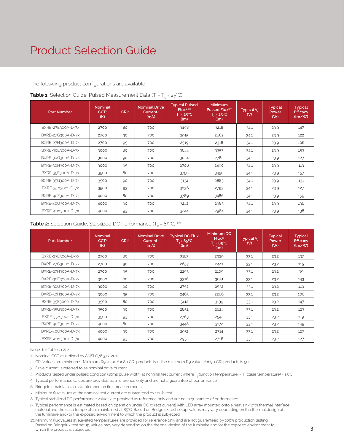### Product Selection Guide

#### The following product configurations are available:

| <b>Part Number</b> | <b>Nominal</b><br>CCT <sup>1</sup><br>(K) | CR <sub>I2</sub> | <b>Nominal Drive</b><br>Current <sup>3</sup><br>(mA) | <b>Typical Pulsed</b><br>Flux <sup>4,5,6</sup><br>$T_c = 25^{\circ}C$<br>(lm) | <b>Minimum</b><br>Pulsed Flux <sup>6,7</sup><br>$T_c = 25^{\circ}C$<br>(lm) | Typical $V_{\epsilon}$<br>(V) | <b>Typical</b><br>Power<br>( W ) | <b>Typical</b><br><b>Efficacy</b><br>(lm/W) |
|--------------------|-------------------------------------------|------------------|------------------------------------------------------|-------------------------------------------------------------------------------|-----------------------------------------------------------------------------|-------------------------------|----------------------------------|---------------------------------------------|
| BXRE-27E300A-D-7x  | 2700                                      | 80               | 700                                                  | 3498                                                                          | 3218                                                                        | 34.1                          | 23.9                             | 147                                         |
| BXRE-27G300A-D-7x  | 2700                                      | 90               | 700                                                  | 2915                                                                          | 2682                                                                        | 34.1                          | 23.9                             | 122                                         |
| BXRE-27H300A-D-7x  | 2700                                      | 95               | 700                                                  | 2519                                                                          | 2318                                                                        | 34.1                          | 23.9                             | 106                                         |
| BXRE-30E300A-D-7x  | 3000                                      | 80               | 700                                                  | 3644                                                                          | 3353                                                                        | 34.1                          | 23.9                             | 153                                         |
| BXRE-30G300A-D-7x  | 3000                                      | 90               | 700                                                  | 3024                                                                          | 2782                                                                        | 34.1                          | 23.9                             | 127                                         |
| BXRE-30H300A-D-7x  | 3000                                      | 95               | 700                                                  | 2706                                                                          | 2490                                                                        | 34.1                          | 23.9                             | 113                                         |
| BXRE-35E300A-D-7x  | 3500                                      | 80               | 700                                                  | 3750                                                                          | 3450                                                                        | 34.1                          | 23.9                             | 157                                         |
| BXRE-35G300A-D-7x  | 3500                                      | 90               | 700                                                  | 3134                                                                          | 2883                                                                        | 34.1                          | 23.9                             | 131                                         |
| BXRE-35A3001-D-7x  | 3500                                      | 93               | 700                                                  | 3036                                                                          | 2793                                                                        | 34.1                          | 23.9                             | 127                                         |
| BXRE-40E300A-D-7x  | 4000                                      | 80               | 700                                                  | 3789                                                                          | 3486                                                                        | 34.1                          | 23.9                             | 159                                         |
| BXRE-40G300A-D-7x  | 4000                                      | 90               | 700                                                  | 3242                                                                          | 2983                                                                        | 34.1                          | 23.9                             | 136                                         |
| BXRE-40A3001-D-7x  | 4000                                      | 93               | 700                                                  | 3244                                                                          | 2984                                                                        | 34.1                          | 23.9                             | 136                                         |

#### **Table 1:** Selection Guide, Pulsed Measurement Data (T<sub>j</sub> = T<sub>c</sub> = 25°C)

#### **Table 2:** Selection Guide, Stabilized DC Performance (T $_{\textrm{c}}$  = 85°C)  $^{\textrm{8.9}}$

| <b>Part Number</b> | <b>Nominal</b><br>CC <sub>T</sub><br>(K) | CRI <sup>2</sup> | <b>Nominal Drive</b><br>Current <sup>3</sup><br>(mA) | <b>Typical DC Flux</b><br>$T_c = 85^{\circ}$ C<br>(lm) | Minimum DC<br>Flux <sup>10</sup><br>$T_c = 85^{\circ}C$<br>(lm) | Typical $V_{\epsilon}$<br>(V) | <b>Typical</b><br>Power<br>( W ) | <b>Typical</b><br>Efficacy<br>$\frac{1}{2}$ |
|--------------------|------------------------------------------|------------------|------------------------------------------------------|--------------------------------------------------------|-----------------------------------------------------------------|-------------------------------|----------------------------------|---------------------------------------------|
| BXRE-27E300A-D-7x  | 2700                                     | 80               | 700                                                  | 3183                                                   | 2929                                                            | 33.1                          | 23.2                             | 137                                         |
| BXRE-27G300A-D-7x  | 2700                                     | 90               | 700                                                  | 2653                                                   | 2441                                                            | 33.1                          | 23.2                             | 115                                         |
| BXRE-27H300A-D-7x  | 2700                                     | 95               | 700                                                  | 2293                                                   | 2109                                                            | 33.1                          | 23.2                             | 99                                          |
| BXRE-30E300A-D-7x  | 3000                                     | 80               | 700                                                  | 3316                                                   | 3051                                                            | 33.1                          | 23.2                             | 143                                         |
| BXRE-30G300A-D-7x  | 3000                                     | 90               | 700                                                  | 2752                                                   | 2532                                                            | 33.1                          | 23.2                             | 119                                         |
| BXRE-30H300A-D-7x  | 3000                                     | 95               | 700                                                  | 2463                                                   | 2266                                                            | 33.1                          | 23.2                             | 106                                         |
| BXRE-35E300A-D-7x  | 3500                                     | 80               | 700                                                  | 3412                                                   | 3139                                                            | 33.1                          | 23.2                             | 147                                         |
| BXRE-35G300A-D-7x  | 3500                                     | 90               | 700                                                  | 2852                                                   | 2624                                                            | 33.1                          | 23.2                             | 123                                         |
| BXRE-35A3001-D-7x  | 3500                                     | 93               | 700                                                  | 2763                                                   | 2542                                                            | 33.1                          | 23.2                             | 119                                         |
| BXRE-40E300A-D-7x  | 4000                                     | 80               | 700                                                  | 3448                                                   | 3172                                                            | 33.1                          | 23.2                             | 149                                         |
| BXRE-40G300A-D-7x  | 4000                                     | 90               | 700                                                  | 2951                                                   | 2714                                                            | 33.1                          | 23.2                             | 127                                         |
| BXRE-40A3001-D-7x  | 4000                                     | 93               | 700                                                  | 2952                                                   | 2716                                                            | 33.1                          | 23.2                             | 127                                         |

Notes for Tables 1 & 2:

- 1. Nominal CCT as defined by ANSI C78.377-2011.
- 2. CRI Values are minimums. Minimum R9 value for 80 CRI products is 0, the minimum R9 values for 90 CRI products is 50.
- 3. Drive current is referred to as nominal drive current.
- 4. Products tested under pulsed condition (10ms pulse width) at nominal test current where T<sub>,</sub> (junction temperature) = T<sub>c</sub> (case temperature) = 25°C.
- 5. Typical performance values are provided as a reference only and are not a guarantee of performance.
- 6. Bridgelux maintains a ± 7% tolerance on flux measurements.
- 7. Minimum flux values at the nominal test current are guaranteed by 100% test.
- 8. Typical stabilized DC performance values are provided as reference only and are not a guarantee of performance.
- 9. Typical performance is estimated based on operation under DC (direct current) with LED array mounted onto a heat sink with thermal interface material and the case temperature maintained at 85°C. Based on Bridgelux test setup, values may vary depending on the thermal design of the luminaire and/or the exposed environment to which the product is subjected.
- 10.Minimum flux values at elevated temperatures are provided for reference only and are not guaranteed by 100% production testing. Based on Bridgelux test setup, values may vary depending on the thermal design of the luminaire and/or the exposed environment to which the product is subjected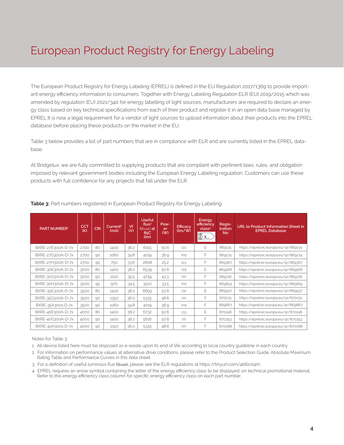## European Product Registry for Energy Labeling

The European Product Registry for Energy Labeling (EPREL) is defined in the EU Regulation 2017/1369 to provide important energy efficiency information to consumers. Together with Energy Labeling Regulation ELR (EU) 2019/2015 which was amended by regulation (EU) 2021/340 for energy labelling of light sources, manufacturers are required to declare an energy class based on key technical specifications from each of their product and register it in an open data base managed by EPREL It is now a legal requirement for a vendor of light sources to upload information about their products into the EPREL database before placing these products on the market in the EU.

Table 3 below provides a list of part numbers that are in compliance with ELR and are currently listed in the EPREL database.

At Bridgelux, we are fully committed to supplying products that are compliant with pertinent laws, rules, and obligation imposed by relevant government bodies including the European Energy Labeling regulation. Customers can use these products with full confidence for any projects that fall under the ELR.

| PART NUMBER <sup>1</sup> | <b>CCT</b><br>(K) | <b>CRI</b> | Current <sup>2</sup><br>(mA) | Vf<br>(V) | <b>Useful</b><br>flux <sup>3</sup><br>$(\Phi$ use) at<br>85C<br>(lm) | Pow-<br>er<br>(W) | <b>Efficacy</b><br>$\frac{1}{2}$ | Energy<br>efficiency<br>class <sup>4</sup><br>$\begin{bmatrix} A \\ I \\ G \end{bmatrix}$ X | Regis-<br>tration<br><b>No</b> | URL to Product Information Sheet in<br><b>EPREL Database</b> |
|--------------------------|-------------------|------------|------------------------------|-----------|----------------------------------------------------------------------|-------------------|----------------------------------|---------------------------------------------------------------------------------------------|--------------------------------|--------------------------------------------------------------|
| BXRE-27E300A-D-7x        | 2700              | 80         | 1400                         | 36.2      | 6155                                                                 | 50.6              | 122                              | Ε                                                                                           | 869135                         | https://eprel.ec.europa.eu/gr/869135                         |
| BXRE-27G300A-D-7x        | 2700              | 90         | 1060                         | 34.8      | 4019                                                                 | 36.9              | 109                              | F                                                                                           | 869274                         | https://eprel.ec.europa.eu/qr/869274                         |
| BXRE-27H300A-D-7x        | 2700              | 95         | 750                          | 33.6      | 2608                                                                 | 25.2              | 103                              | F                                                                                           | 869367                         | https://eprel.ec.europa.eu/gr/869367                         |
| BXRE-30E300A-D-7x        | 3000              | 80         | 1400                         | 36.2      | 6539                                                                 | 50.6              | 129                              | E                                                                                           | 869566                         | https://eprel.ec.europa.eu/gr/869566                         |
| BXRE-30G300A-D-7x        | 3000              | 90         | 1220                         | 35.5      | 4739                                                                 | 43.3              | 110                              | F                                                                                           | 869716                         | https://eprel.ec.europa.eu/gr/869716                         |
| BXRE-30H300A-D-7x        | 3000              | 95         | 970                          | 34.5      | 3520                                                                 | 33.5              | 105                              | F                                                                                           | 869819                         | https://eprel.ec.europa.eu/gr/869819                         |
| BXRE-35E300A-D-7x        | 3500              | 80         | 1400                         | 36.2      | 6693                                                                 | 50.6              | 132                              | Ε                                                                                           | 869937                         | https://eprel.ec.europa.eu/gr/869937                         |
| BXRE-35G300A-D-7x        | 3500              | 90         | 1350                         | 36.0      | 5335                                                                 | 48.6              | 110                              | F                                                                                           | 870031                         | https://eprel.ec.europa.eu/gr/870031                         |
| BXRE-35A3001-D-7x        | 3500              | 90         | 1060                         | 34.8      | 4019                                                                 | 36.9              | 109                              | F                                                                                           | 869867                         | https://eprel.ec.europa.eu/gr/869867                         |
| BXRE-40E300A-D-7x        | 4000              | 80         | 1400                         | 36.2      | 6732                                                                 | 50.6              | 133                              | Ε                                                                                           | 870246                         | https://eprel.ec.europa.eu/gr/870246                         |
| BXRE-40G300A-D-7x        | 4000              | 90         | 1400                         | 36.2      | 5616                                                                 | 50.6              | 111                              | F                                                                                           | 870353                         | https://eprel.ec.europa.eu/gr/870353                         |
| BXRE-40A3001-D-7x        | 4000              | 90         | 1350                         | 36.0      | 5335                                                                 | 48.6              | 110                              | F                                                                                           | 870088                         | https://eprel.ec.europa.eu/gr/870088                         |

**Table 3:** Part numbers registered in European Product Registry for Energy Labeling

Notes for Table 3:

1. All device listed here must be disposed as e-waste upon its end of life according to local country guideline in each country.

- 2. For information on performance values at alternative drive conditions. please refer to the Product Selection Guide, Absolute Maximum Rating Table and Performance Curves in this data sheet.
- 3. For a definition of useful luminous flux (Φuse), please see the ELR regulations at https://tinyurl.com/4b6zvt4m.
- 4. EPREL requires an arrow symbol containing the letter of the energy efficiency class to be displayed. on technical promotional material. Refer to this energy efficiency class column for specific energy efficiency class on each part number.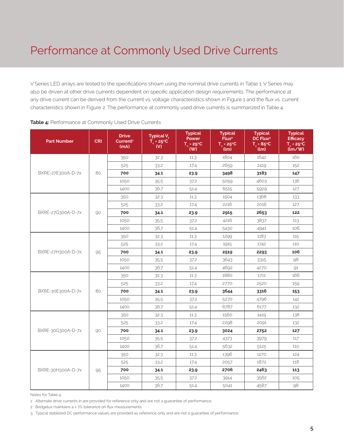### Performance at Commonly Used Drive Currents

V Series LED arrays are tested to the specifications shown using the nominal drive currents in Table 1. V Series may also be driven at other drive currents dependent on specific application design requirements. The performance at any drive current can be derived from the current vs. voltage characteristics shown in Figure 1 and the flux vs. current characteristics shown in Figure 2. The performance at commonly used drive currents is summarized in Table 4.

| <b>Part Number</b> | <b>CRI</b> | <b>Drive</b><br>Current <sup>1</sup><br>(mA) | Typical V <sub>f</sub><br>$T_c = 25^{\circ}C$<br>(V) | <b>Typical</b><br>Power<br>$T_c = 25^{\circ}C$<br>(W) | <b>Typical</b><br>Flux <sup>2</sup><br>$T_c = 25^{\circ}C$<br>(lm) | <b>Typical</b><br>DC Flux <sup>3</sup><br>$T_c = 85^{\circ}C$<br>(lm) | <b>Typical</b><br><b>Efficacy</b><br>$T_c = 25^{\circ}C$<br>$(\mathbf{Im}/\mathbf{W})$ |
|--------------------|------------|----------------------------------------------|------------------------------------------------------|-------------------------------------------------------|--------------------------------------------------------------------|-----------------------------------------------------------------------|----------------------------------------------------------------------------------------|
|                    |            | 350                                          | 32.3                                                 | 11.3                                                  | 1804                                                               | 1642                                                                  | 160                                                                                    |
|                    |            | 525                                          | 33.2                                                 | 17.4                                                  | 2659                                                               | 2419                                                                  | 152                                                                                    |
| BXRE-27E300A-D-7x  | 80         | 700                                          | 34.1                                                 | 23.9                                                  | 3498                                                               | 3183                                                                  | 147                                                                                    |
|                    |            | 1050                                         | 35.5                                                 | 37.2                                                  | 5059                                                               | 4603                                                                  | 136                                                                                    |
|                    |            | 1400                                         | 36.7                                                 | 51.4                                                  | 6515                                                               | 5929                                                                  | 127                                                                                    |
|                    |            | 350                                          | 32.3                                                 | 11.3                                                  | 1504                                                               | 1368                                                                  | 133                                                                                    |
|                    |            | 525                                          | 33.2                                                 | 17.4                                                  | 2216                                                               | 2016                                                                  | 127                                                                                    |
| BXRE-27G300A-D-7x  | 90         | 700                                          | 34.1                                                 | 23.9                                                  | 2915                                                               | 2653                                                                  | 122                                                                                    |
|                    |            | 1050                                         | 35.5                                                 | 37.2                                                  | 4216                                                               | 3837                                                                  | 113                                                                                    |
|                    |            | 1400                                         | 36.7                                                 | 51.4                                                  | 5430                                                               | 4941                                                                  | 106                                                                                    |
| BXRE-27H300A-D-7x  |            | 350                                          | 32.3                                                 | 11.3                                                  | 1299                                                               | 1183                                                                  | 115                                                                                    |
|                    |            | 525                                          | 33.2                                                 | 17.4                                                  | 1915                                                               | 1742                                                                  | 110                                                                                    |
|                    | 95         | 700                                          | 34.1                                                 | 23.9                                                  | 2519                                                               | 2293                                                                  | 106                                                                                    |
|                    |            | 1050                                         | 35.5                                                 | 37.2                                                  | 3643                                                               | 3315                                                                  | 98                                                                                     |
|                    |            | 1400                                         | 36.7                                                 | 51.4                                                  | 4692                                                               | 4270                                                                  | 91                                                                                     |
|                    | 80         | 350                                          | 32.3                                                 | 11.3                                                  | 1880                                                               | 1711                                                                  | 166                                                                                    |
|                    |            | 525                                          | 33.2                                                 | 17.4                                                  | 2770                                                               | 2520                                                                  | 159                                                                                    |
| BXRE-30E300A-D-7x  |            | 700                                          | 34.1                                                 | 23.9                                                  | 3644                                                               | 3316                                                                  | 153                                                                                    |
|                    |            | 1050                                         | 35.5                                                 | 37.2                                                  | 5270                                                               | 4796                                                                  | 142                                                                                    |
|                    |            | 1400                                         | 36.7                                                 | 51.4                                                  | 6787                                                               | 6177                                                                  | 132                                                                                    |
|                    |            | 350                                          | 32.3                                                 | 11.3                                                  | 1560                                                               | 1419                                                                  | 138                                                                                    |
|                    |            | 525                                          | 33.2                                                 | 17.4                                                  | 2298                                                               | 2091                                                                  | 132                                                                                    |
| BXRE-30G300A-D-7x  | 90         | 700                                          | 34.1                                                 | 23.9                                                  | 3024                                                               | 2752                                                                  | 127                                                                                    |
|                    |            | 1050                                         | 35.5                                                 | 37.2                                                  | 4373                                                               | 3979                                                                  | 117                                                                                    |
|                    |            | 1400                                         | 36.7                                                 | 51.4                                                  | 5632                                                               | 5125                                                                  | 110                                                                                    |
|                    |            | 350                                          | 32.3                                                 | 11.3                                                  | 1396                                                               | 1270                                                                  | 124                                                                                    |
|                    |            | 525                                          | 33.2                                                 | 17.4                                                  | 2057                                                               | 1872                                                                  | 118                                                                                    |
| BXRE-30H300A-D-7x  | 95         | 700                                          | 34.1                                                 | 23.9                                                  | 2706                                                               | 2463                                                                  | 113                                                                                    |
|                    |            | 1050                                         | 35.5                                                 | 37.2                                                  | 3914                                                               | 3562                                                                  | 105                                                                                    |
|                    |            | 1400                                         | 36.7                                                 | 51.4                                                  | 5041                                                               | 4587                                                                  | 98                                                                                     |

#### **Table 4:** Performance at Commonly Used Drive Currents

Notes for Table 4:

1. Alternate drive currents in are provided for reference only and are not a guarantee of performance.

2. Bridgelux maintains a ± 7% tolerance on flux measurements.

3. Typical stabilized DC performance values are provided as reference only and are not a guarantee of performance.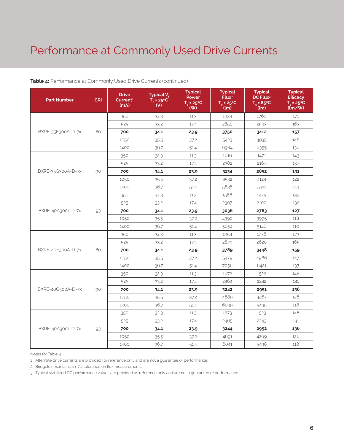### Performance at Commonly Used Drive Currents

| <b>Part Number</b> | <b>CRI</b> | <b>Drive</b><br>Current <sup>1</sup><br>(mA) | Typical V <sub>e</sub><br>$T_c = 25^{\circ}C$<br>(V) | <b>Typical</b><br>Power<br>$T_c = 25^{\circ}C$<br>(VV) | <b>Typical</b><br>Flux <sup>2</sup><br>$T_c = 25^{\circ}C$<br>(lm) | <b>Typical</b><br>DC Flux <sup>3</sup><br>$T_c = 85^{\circ}C$<br>(lm) | <b>Typical</b><br><b>Efficacy</b><br>$T_c = 25^{\circ}C$<br>$\langle \mathrm{Im}/\mathrm{W} \rangle$ |
|--------------------|------------|----------------------------------------------|------------------------------------------------------|--------------------------------------------------------|--------------------------------------------------------------------|-----------------------------------------------------------------------|------------------------------------------------------------------------------------------------------|
|                    |            | 350                                          | 32.3                                                 | 11.3                                                   | 1934                                                               | 1760                                                                  | 171                                                                                                  |
|                    |            | 525                                          | 33.2                                                 | 17.4                                                   | 2850                                                               | 2593                                                                  | 163                                                                                                  |
| BXRE-35E300A-D-7x  | 80         | 700                                          | 34.1                                                 | 23.9                                                   | 3750                                                               | 3412                                                                  | 157                                                                                                  |
|                    |            | 1050                                         | 35.5                                                 | 37.2                                                   | 5423                                                               | 4935                                                                  | 146                                                                                                  |
|                    |            | 1400                                         | 36.7                                                 | 51.4                                                   | 6984                                                               | 6355                                                                  | 136                                                                                                  |
|                    |            | 350                                          | 32.3                                                 | 11.3                                                   | 1616                                                               | 1471                                                                  | 143                                                                                                  |
|                    |            | 525                                          | 33.2                                                 | 17.4                                                   | 2382                                                               | 2167                                                                  | 137                                                                                                  |
| BXRE-35G300A-D-7x  | 90         | 700                                          | 34.1                                                 | 23.9                                                   | 3134                                                               | 2852                                                                  | 131                                                                                                  |
|                    |            | 1050                                         | 35.5                                                 | 37.2                                                   | 4532                                                               | 4124                                                                  | 122                                                                                                  |
|                    |            | 1400                                         | 36.7                                                 | 51.4                                                   | 5836                                                               | 5311                                                                  | 114                                                                                                  |
| BXRE-40A3001-D-7x  |            | 350                                          | 32.3                                                 | 11.3                                                   | 1566                                                               | 1425                                                                  | 139                                                                                                  |
|                    |            | 525                                          | 33.2                                                 | 17.4                                                   | 2307                                                               | 2100                                                                  | 132                                                                                                  |
|                    | 93         | 700                                          | 34.1                                                 | 23.9                                                   | 3036                                                               | 2763                                                                  | 127                                                                                                  |
|                    |            | 1050                                         | 35.5                                                 | 37.2                                                   | 4390                                                               | 3995                                                                  | 118                                                                                                  |
|                    |            | 1400                                         | 36.7                                                 | 51.4                                                   | 5654                                                               | 5146                                                                  | 110                                                                                                  |
|                    |            | 350                                          | 32.3                                                 | 11.3                                                   | 1954                                                               | 1778                                                                  | 173                                                                                                  |
|                    | 80         | 525                                          | 33.2                                                 | 17.4                                                   | 2879                                                               | 2620                                                                  | 165                                                                                                  |
| BXRE-40E300A-D-7x  |            | 700                                          | 34.1                                                 | 23.9                                                   | 3789                                                               | 3448                                                                  | 159                                                                                                  |
|                    |            | 1050                                         | 35.5                                                 | 37.2                                                   | 5479                                                               | 4986                                                                  | 147                                                                                                  |
|                    |            | 1400                                         | 36.7                                                 | 51.4                                                   | 7056                                                               | 6421                                                                  | 137                                                                                                  |
|                    |            | 350                                          | 32.3                                                 | 11.3                                                   | 1672                                                               | 1522                                                                  | 148                                                                                                  |
|                    |            | 525                                          | 33.2                                                 | 17.4                                                   | 2464                                                               | 2242                                                                  | 141                                                                                                  |
| BXRE-40G300A-D-7x  | 90         | 700                                          | 34.1                                                 | 23.9                                                   | 3242                                                               | 2951                                                                  | 136                                                                                                  |
|                    |            | 1050                                         | 35.5                                                 | 37.2                                                   | 4689                                                               | 4267                                                                  | 126                                                                                                  |
|                    |            | 1400                                         | 36.7                                                 | 51.4                                                   | 6039                                                               | 5495                                                                  | 118                                                                                                  |
|                    |            | 350                                          | 32.3                                                 | 11.3                                                   | 1673                                                               | 1523                                                                  | 148                                                                                                  |
|                    |            | 525                                          | 33.2                                                 | 17.4                                                   | 2465                                                               | 2243                                                                  | 141                                                                                                  |
| BXRE-40A3001-D-7x  | 93         | 700                                          | 34.1                                                 | 23.9                                                   | 3244                                                               | 2952                                                                  | 136                                                                                                  |
|                    |            | 1050                                         | 35.5                                                 | 37.2                                                   | 4691                                                               | 4269                                                                  | 126                                                                                                  |
|                    |            | 1400                                         | 36.7                                                 | 51.4                                                   | 6041                                                               | 5498                                                                  | 118                                                                                                  |

#### **Table 4:** Performance at Commonly Used Drive Currents (continued)

Notes for Table 4:

1. Alternate drive currents are provided for reference only and are not a guarantee of performance.

2. Bridgelux maintains a ± 7% tolerance on flux measurements.

3. Typical stabilized DC performance values are provided as reference only and are not a guarantee of performance.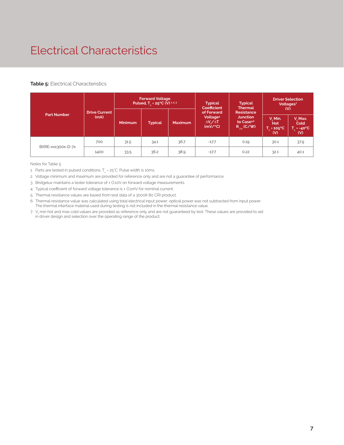## Electrical Characteristics

#### **Table 5: Electrical Characteristics**

| <b>Part Number</b> |                              | <b>Forward Voltage</b><br>Pulsed, $T_c = 25^{\circ}C$ (V) 1, 2, 3 |                |                | <b>Typical</b><br><b>Coefficient</b>                                  | <b>Typical</b><br><b>Thermal</b>                                                  | <b>Driver Selection</b><br>Voltages <sup>7</sup><br>(V) |                                                |
|--------------------|------------------------------|-------------------------------------------------------------------|----------------|----------------|-----------------------------------------------------------------------|-----------------------------------------------------------------------------------|---------------------------------------------------------|------------------------------------------------|
|                    | <b>Drive Current</b><br>(mA) | <b>Minimum</b>                                                    | <b>Typical</b> | <b>Maximum</b> | of Forward<br>Voltage <sup>4</sup><br>$\Delta V / \Delta T$<br>(mV/C) | <b>Resistance</b><br><b>Junction</b><br>to Case <sup>5,6</sup><br>$R_{i-c}$ (C/W) | V. Min.<br><b>Hot</b><br>$T_c = 105^{\circ}C$<br>(V)    | V, Max.<br>Cold<br>$T_c = -40^{\circ}C$<br>(V) |
| BXRE-xxx300x-D-7x  | 700                          | 31.5                                                              | 34.1           | 36.7           | $-17.7$                                                               | 0.19                                                                              | 30.1                                                    | 37.9                                           |
|                    | 1400                         | 33.5                                                              | 36.2           | 38.9           | $-17.7$                                                               | 0.22                                                                              | 32.1                                                    | 40.1                                           |

Notes for Table 5:

1. Parts are tested in pulsed conditions, T $_{\rm c}$  = 25°C. Pulse width is 10ms.

2. Voltage minimum and maximum are provided for reference only and are not a guarantee of performance.

3. Bridgelux maintains a tester tolerance of ± 0.10V on forward voltage measurements.

4. Typical coefficient of forward voltage tolerance is ± 0.1mV for nominal current.

5. Thermal resistance values are based from test data of a 3000K 80 CRI product.

6. Thermal resistance value was calculated using total electrical input power; optical power was not subtracted from input power. The thermal interface material used during testing is not included in the thermal resistance value.

7.  $\rm V_f$  min hot and max cold values are provided as reference only and are not guaranteed by test. These values are provided to aid in driver design and selection over the operating range of the product.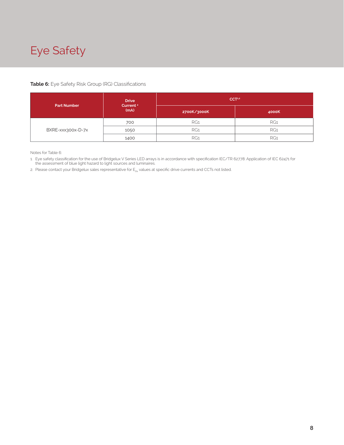## Eye Safety

#### **Table 6:** Eye Safety Risk Group (RG) Classifications

| <b>Part Number</b> | <b>Drive</b><br>Current <sup>2</sup> | CCT <sub>1,2</sub> |       |  |  |
|--------------------|--------------------------------------|--------------------|-------|--|--|
|                    | (mA)                                 | 2700K/3000K        | 4000K |  |  |
| BXRE-xxx300x-D-7x  | 700                                  | RG1                | RG1   |  |  |
|                    | 1050                                 | RG1                | RG1   |  |  |
|                    | 1400                                 | RG1                | RG1   |  |  |

Notes for Table 6:

1. Eye safety classification for the use of Bridgelux V Series LED arrays is in accordance with specification IEC/TR 62778: Application of IEC 62471 for the assessment of blue light hazard to light sources and luminaires.

2. Please contact your Bridgelux sales representative for  $E_{thr}$  values at specific drive currents and CCTs not listed.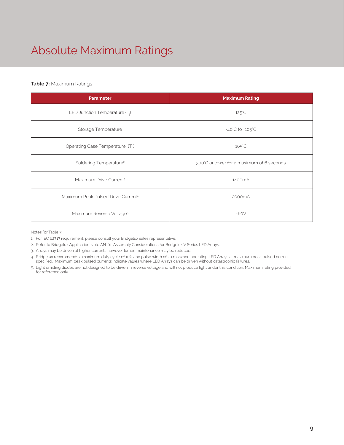## Absolute Maximum Ratings

#### **Table 7:** Maximum Ratings

| <b>Parameter</b>                                          | <b>Maximum Rating</b>                     |
|-----------------------------------------------------------|-------------------------------------------|
| LED Junction Temperature (T.)                             | $125^{\circ}$ C                           |
| Storage Temperature                                       | $-40^{\circ}$ C to $+105^{\circ}$ C       |
| Operating Case Temperature <sup>1</sup> (T <sub>.</sub> ) | $105^{\circ}$ C                           |
| Soldering Temperature <sup>2</sup>                        | 300°C or lower for a maximum of 6 seconds |
| Maximum Drive Current <sup>3</sup>                        | 1400mA                                    |
| Maximum Peak Pulsed Drive Current <sup>4</sup>            | 2000 <sub>m</sub> A                       |
| Maximum Reverse Voltage <sup>5</sup>                      | $-60V$                                    |

Notes for Table 7:

1. For IEC 62717 requirement, please consult your Bridgelux sales representative.

2. Refer to Bridgelux Application Note AN101: Assembly Considerations for Bridgelux V Series LED Arrays.

3. Arrays may be driven at higher currents however lumen maintenance may be reduced.

4. Bridgelux recommends a maximum duty cycle of 10% and pulse width of 20 ms when operating LED Arrays at maximum peak pulsed current specified. Maximum peak pulsed currents indicate values where LED Arrays can be driven without catastrophic failures.

5. Light emitting diodes are not designed to be driven in reverse voltage and will not produce light under this condition. Maximum rating provided for reference only.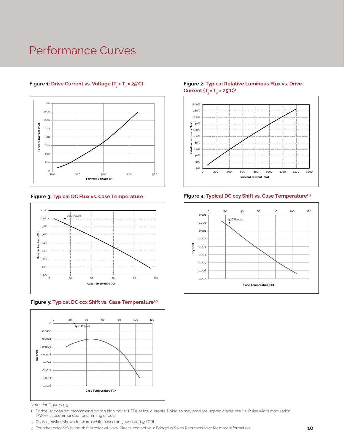### Performance Curves



#### **Figure 1: Drive Current vs. Voltage (T<sub>j</sub> = T<sub>c</sub>**



#### Figure 5: Typical DC ccx Shift vs. Case Temperature<sup>2,3</sup>



Notes for Figures 1-5:

1. Bridgelux does not recommend driving high power LEDs at low currents. Doing so may produce unpredictable results. Pulse width modulation (PWM) is recommended for dimming effects.

- 2. Characteristics shown for warm white based on 3000K and 90 CRI.
- 3. For other color SKUs, the shift in color will vary. Please contact your Bridgelux Sales Representative for more information.

#### **Figure 2: Typical Relative Luminous Flux vs. Drive Current (Tj = Tc = 25°C)1**





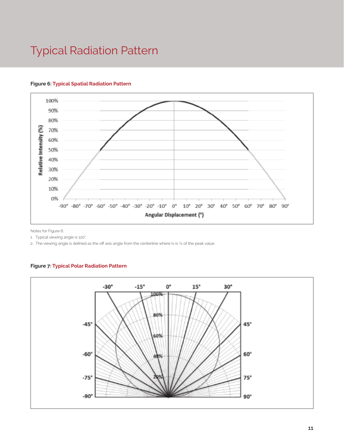### Typical Radiation Pattern

#### **Figure 6: Typical Spatial Radiation Pattern**



Notes for Figure 6:

1. Typical viewing angle is 120°. .

2. The viewing angle is defined as the off axis angle from the centerline where Iv is ½ of the peak value.

#### **Figure 7: Typical Polar Radiation Pattern**

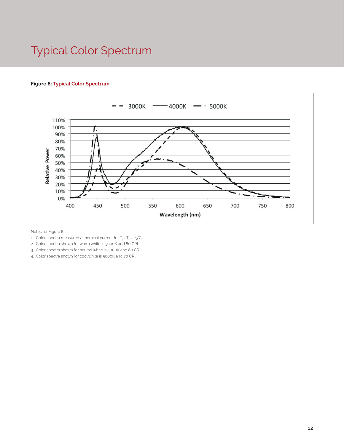### Typical Color Spectrum



#### **Figure 8: Typical Color Spectrum**

Notes for Figure 8:

- 1. Color spectra measured at nominal current for T $_{\rm j}$  = T $_{\rm c}$  = 25°C.
- 2. Color spectra shown for warm white is 3000K and 80 CRI.
- 3. Color spectra shown for neutral white is 4000K and 80 CRI.
- 4. Color spectra shown for cool white is 5000K and 70 CRI.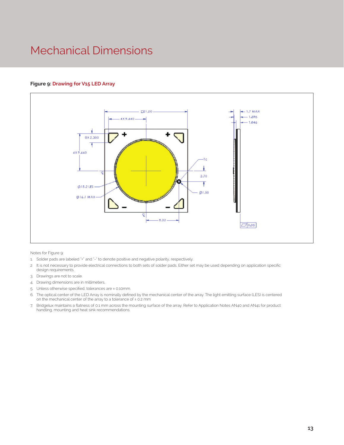### Mechanical Dimensions

#### **Figure 9: Drawing for V15 LED Array**



Notes for Figure 9:

- 1. Solder pads are labeled "+" and "-" to denote positive and negative polarity, respectively.
- 2 It is not necessary to provide electrical connections to both sets of solder pads. Either set may be used depending on application specific design requirements.
- 3. Drawings are not to scale.
- 4. Drawing dimensions are in millimeters.
- 5. Unless otherwise specified, tolerances are ± 0.10mm.
- 6. The optical center of the LED Array is nominally defined by the mechanical center of the array. The light emitting surface (LES) is centered on the mechanical center of the array to a tolerance of ± 0.2 mm
- 7. Bridgelux maintains a flatness of 0.1 mm across the mounting surface of the array. Refer to Application Notes AN40 and AN41 for product handling, mounting and heat sink recommendations.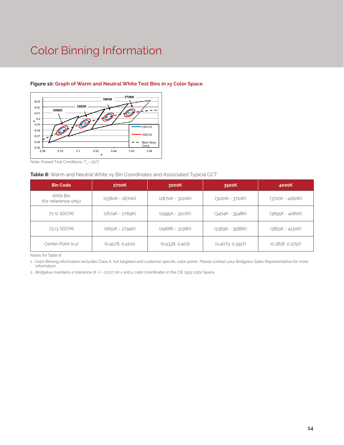### Color Binning Information



#### **Figure 10: Graph of Warm and Neutral White Test Bins in xy Color Space**

Note: Pulsed Test Conditions, T $_{\rm c}$  = 25°C

#### **Table 8:** Warm and Neutral White xy Bin Coordinates and Associated Typical CCT

| <b>Bin Code</b>                  | 2700K             | 3000K             | 3500K             | 4000K             |
|----------------------------------|-------------------|-------------------|-------------------|-------------------|
| ANSI Bin<br>(for reference only) | (2580K - 2870K)   | (2870K - 3220K)   | $(3220K - 3710K)$ | (3710K - 4260K)   |
| 72 (2 SDCM)                      | $(2674K - 2769K)$ | $(2995K - 3107K)$ | $(3404K - 3548K)$ | $(3895K - 4081K)$ |
| 73 (3 SDCM)                      | (2651K - 2794K)   | $(2968K - 3136K)$ | $(3369K - 3586K)$ | $(3851K - 4130K)$ |
| Center Point (x,y)               | (0.4578, 0.4101)  | (0.4338, 0.403)   | (0.4073, 0.3917)  | (0.3818, 0.3797)  |

Notes for Table 8:

1. Color Binning information excludes Class A, hot targeted and customer specific color points. Please contact your Bridgelux Sales Representative for more information

2. Bridgelux maintains a tolerance of +/- 0.007 on x and y color coordinates in the CIE 1931 color Space.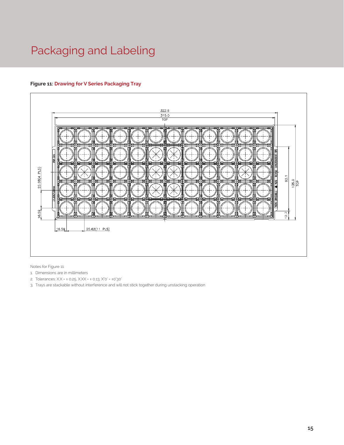## Packaging and Labeling

#### **Figure 11: Drawing for V Series Packaging Tray**



Notes for Figure 11:

- 1. Dimensions are in millimeters
- 2. Tolerances: X.X = ± 0.25, X.XX = ± 0.13, X°0' = ±0°30'
- 3. Trays are stackable without interference and will not stick together during unstacking operation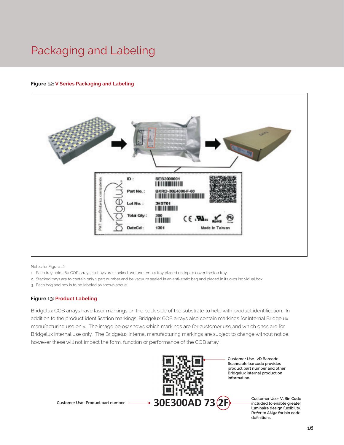### Packaging and Labeling

#### **Figure 12: V Series Packaging and Labeling**



Notes for Figure 12:

- 1. Each tray holds 60 COB arrays, 10 trays are stacked and one empty tray placed on top to cover the top tray.
- 2. Stacked trays are to contain only 1 part number and be vacuum sealed in an anti-static bag and placed in its own individual box.
- 3. Each bag and box is to be labeled as shown above.

#### **Figure 13: Product Labeling**

Bridgelux COB arrays have laser markings on the back side of the substrate to help with product identification. In addition to the product identification markings, Bridgelux COB arrays also contain markings for internal Bridgelux manufacturing use only. The image below shows which markings are for customer use and which ones are for Bridgelux internal use only. The Bridgelux internal manufacturing markings are subject to change without notice, however these will not impact the form, function or performance of the COB array.



**Customer Use- 2D Barcode Scannable barcode provides product part number and other Bridgelux internal production information.**

> Customer Use-V, Bin Code **included to enable greater luminaire design flexibility. Refer to AN92 for bin code definitions.**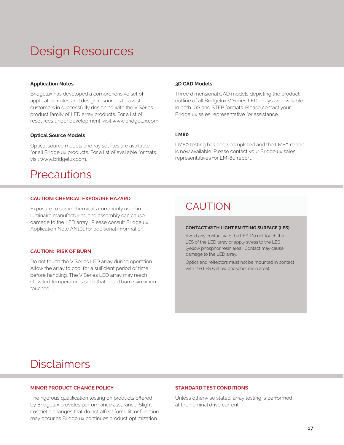## Design Resources

#### **Application Notes**

Bridgelux has developed a comprehensive set of application notes and design resources to assist customers in successfully designing with the V Series product family of LED array products. For a list of resources under development, visit www.bridgelux.com.

#### **Optical Source Models**

Optical source models and ray set files are available for all Bridgelux products. For a list of available formats, visit www.bridgelux.com.

### **Precautions**

#### **CAUTION: CHEMICAL EXPOSURE HAZARD**

Exposure to some chemicals commonly used in luminaire manufacturing and assembly can cause damage to the LED array. Please consult Bridgelux Application Note AN101 for additional information.

#### **CAUTION: RISK OF BURN**

Do not touch the V Series LED array during operation. Allow the array to cool for a sufficient period of time before handling. The V Series LED array may reach elevated temperatures such that could burn skin when touched.

#### **3D CAD Models**

Three dimensional CAD models depicting the product outline of all Bridgelux V Series LED arrays are available in both IGS and STEP formats. Please contact your Bridgelux sales representative for assistance.

#### **LM80**

LM80 testing has been completed and the LM80 report is now available. Please contact your Bridgelux sales representatives for LM-80 report.

### CAUTION

#### **CONTACT WITH LIGHT EMITTING SURFACE (LES)**

Avoid any contact with the LES. Do not touch the LES of the LED array or apply stress to the LES (yellow phosphor resin area). Contact may cause damage to the LED array.

Optics and reflectors must not be mounted in contact with the LES (yellow phosphor resin area).

### **Disclaimers**

#### **MINOR PRODUCT CHANGE POLICY**

The rigorous qualification testing on products offered by Bridgelux provides performance assurance. Slight cosmetic changes that do not affect form, fit, or function may occur as Bridgelux continues product optimization.

#### **STANDARD TEST CONDITIONS**

Unless otherwise stated, array testing is performed at the nominal drive current.